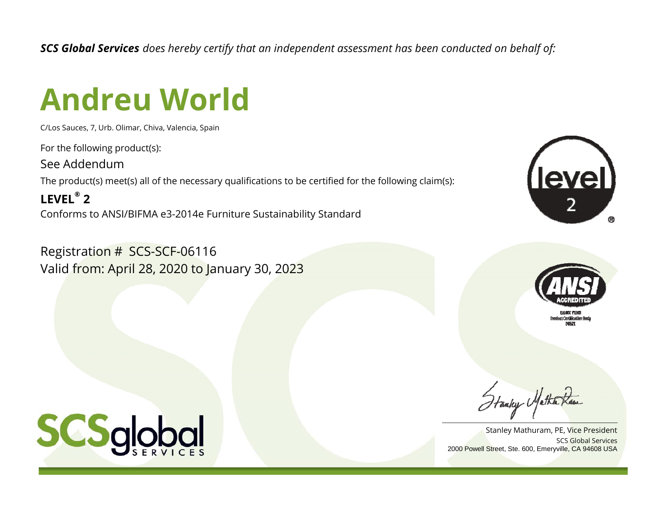*SCS Global Services does hereby certify that an independent assessment has been conducted on behalf of:*

## **Andreu World**

C/Los Sauces, 7, Urb. Olimar, Chiva, Valencia, Spain

For the following product(s):

See Addendum

The product(s) meet(s) all of the necessary qualifications to be certified for the following claim(s):

**LEVEL® 2**Conforms to ANSI/BIFMA e3-2014e Furniture Sustainability Standard

Registration # SCS-SCF-06116 Valid from: April 28, 2020 to January 30, 2023





SCS Global ServicesStanley Mathuram, PE, Vice President 2000 Powell Street, Ste. 600, Emeryville, CA 94608 USA